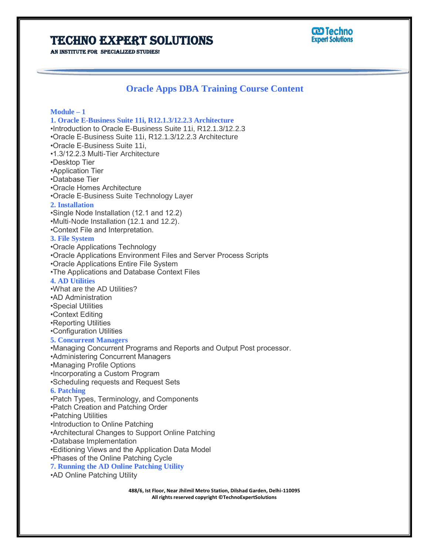### Techno Expert Solutions

#### **ම Techno Expert Solutions**

AN INSTITUTE FOR SPECIALIZED STUDIES!

### **Oracle Apps DBA Training Course Content**

**Module – 1 1. Oracle E-Business Suite 11i, R12.1.3/12.2.3 Architecture** •Introduction to Oracle E-Business Suite 11i, R12.1.3/12.2.3 •Oracle E-Business Suite 11i, R12.1.3/12.2.3 Architecture •Oracle E-Business Suite 11i, •1.3/12.2.3 Multi-Tier Architecture •Desktop Tier •Application Tier •Database Tier •Oracle Homes Architecture •Oracle E-Business Suite Technology Layer **2. Installation** •Single Node Installation (12.1 and 12.2) •Multi-Node Installation (12.1 and 12.2). •Context File and Interpretation. **3. File System** •Oracle Applications Technology •Oracle Applications Environment Files and Server Process Scripts •Oracle Applications Entire File System •The Applications and Database Context Files **4. AD Utilities** •What are the AD Utilities? •AD Administration •Special Utilities •Context Editing •Reporting Utilities •Configuration Utilities **5. Concurrent Managers** •Managing Concurrent Programs and Reports and Output Post processor. •Administering Concurrent Managers •Managing Profile Options •Incorporating a Custom Program •Scheduling requests and Request Sets **6. Patching** •Patch Types, Terminology, and Components •Patch Creation and Patching Order •Patching Utilities •Introduction to Online Patching •Architectural Changes to Support Online Patching •Database Implementation •Editioning Views and the Application Data Model •Phases of the Online Patching Cycle **7. Running the AD Online Patching Utility** •AD Online Patching Utility

> **488/6, Ist Floor, Near Jhilmil Metro Station, Dilshad Garden, Delhi-110095 All rights reserved copyright ©TechnoExpertSolutions**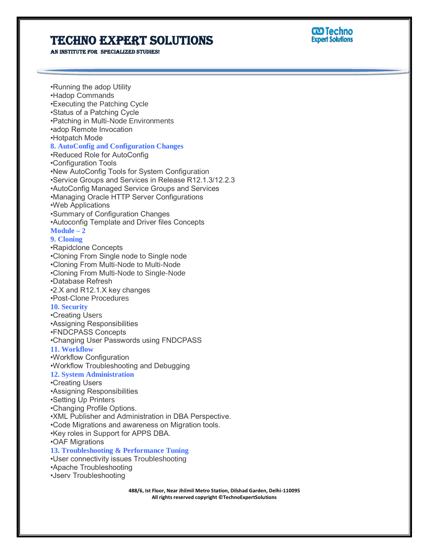# Techno Expert Solutions

AN INSTITUTE FOR SPECIALIZED STUDIES!

**CD** Techno **Expert Solutions** 

•Running the adop Utility •Hadop Commands •Executing the Patching Cycle •Status of a Patching Cycle •Patching in Multi-Node Environments •adop Remote Invocation •Hotpatch Mode **8. AutoConfig and Configuration Changes** •Reduced Role for AutoConfig •Configuration Tools •New AutoConfig Tools for System Configuration •Service Groups and Services in Release R12.1.3/12.2.3 •AutoConfig Managed Service Groups and Services •Managing Oracle HTTP Server Configurations •Web Applications •Summary of Configuration Changes •Autoconfig Template and Driver files Concepts **Module – 2 9. Cloning** •Rapidclone Concepts •Cloning From Single node to Single node •Cloning From Multi-Node to Multi-Node •Cloning From Multi-Node to Single-Node •Database Refresh •2.X and R12.1.X key changes •Post-Clone Procedures **10. Security** •Creating Users •Assigning Responsibilities •FNDCPASS Concepts •Changing User Passwords using FNDCPASS **11. Workflow** •Workflow Configuration •Workflow Troubleshooting and Debugging **12. System Administration** •Creating Users •Assigning Responsibilities •Setting Up Printers •Changing Profile Options. •XML Publisher and Administration in DBA Perspective. •Code Migrations and awareness on Migration tools. •Key roles in Support for APPS DBA. •OAF Migrations **13. Troubleshooting & Performance Tuning** •User connectivity issues Troubleshooting •Apache Troubleshooting

•Jserv Troubleshooting

**488/6, Ist Floor, Near Jhilmil Metro Station, Dilshad Garden, Delhi-110095 All rights reserved copyright ©TechnoExpertSolutions**